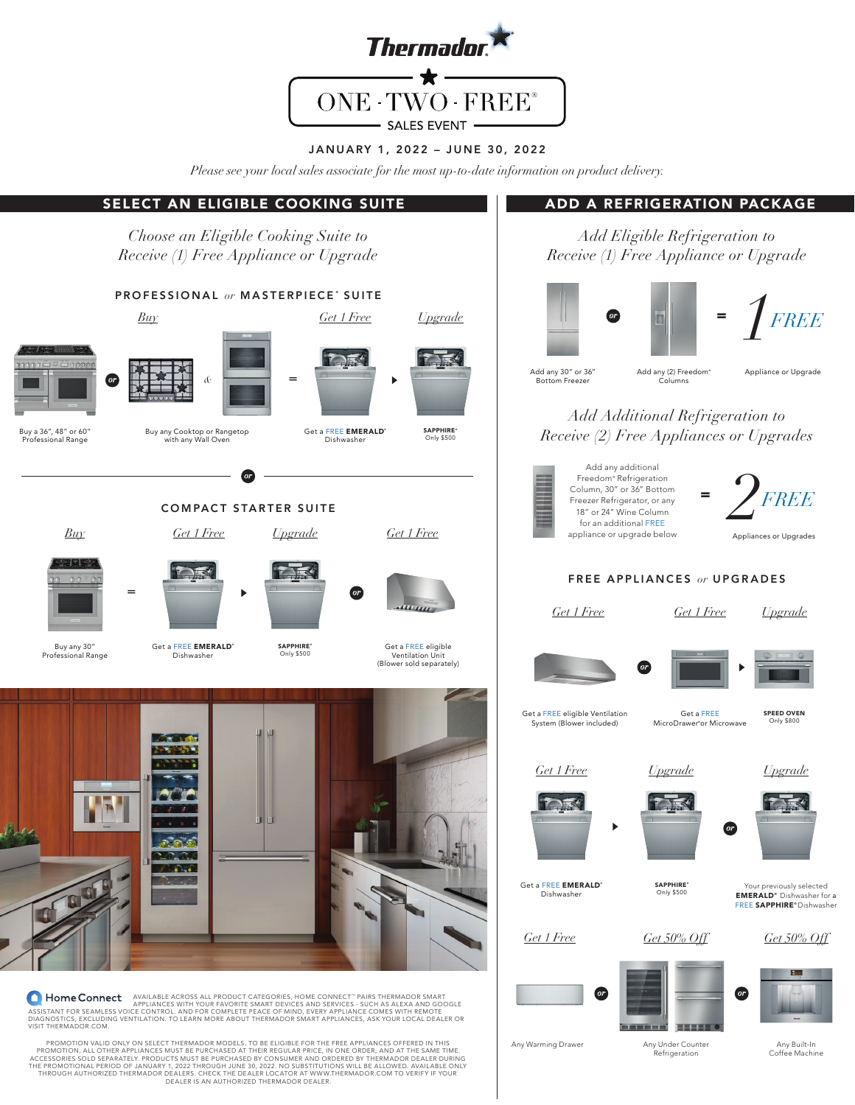

#### JANUARY 1, 2022 – JUNE 30, 2022

*Please see your local sales associate for the most up-to-date information on product delivery.* 

# SELECT AN ELIGIBLE COOKING SUITE ADD A REFRIGERATION PACKAGE

*Choose an Eligible Cooking Suite to Receive (1) Free Appliance or Upgrade*

# PROFESSIONAL or MASTERPIECE<sup>®</sup> SUITE *Buy Get 1 Free Upgrade &* = *or*  $\overline{ }$ Buy a 36", 48" or 60" Buy any Cooktop or Rangetop Get a FREE **EMERALD**<sup>®</sup> SAPPHIRE<sup>®</sup><br>Only \$500 Professional Range with any Wall Oven Dishwasher *or* COMPACT STARTER SUITE *Buy Get 1 Free Upgrade Get 1 Free* = *or* Get a FREE EMERALD® Buy any 30" **SAPPHIRE** Get a FREE eligible<br>Ventilation Unit<br>(Blower sold separately) Only \$500 Professional Range **Dishwasher**

**A Home Connect** Appliable across all product caregories, home connect " pairs thermador smart<br>Appliances with your favorite smart devices and services and services - such as alexa and google<br>Diagnostics, excluding ventila VISIT THERMADOR.COM.

PROMOTION VALID ONLY ON SELECT THERMADOR MODELS. TO BE ELIGIBLE FOR THE FREE APPLIANCES OFFERED IN THIS PROMOTION, ALL OTHER APPLIANCES MUST BE PURCHASED AT THEIR REGULAR PRICE, IN ONE ORDER, AND AT THE SAME TIME.<br>ACCESSORIES SOLD SEPARATELY: PRODUCTS MUST BE PURCHASED BY CONSUMER AND ORDERED BY THERMADOR DEALER DURING<br>THE P THROUGH AUTHORIZED THERMADOR DEALERS. CHECK THE DEALER LOCATOR AT WWW.THERMADOR.COM TO VERIFY IF YOUR<br>DEALER IS AN AUTHORIZED THERMADOR DEALER.

*Add Eligible Refrigeration to Receive (1) Free Appliance or Upgrade*



*Add Additional Refrigeration to Receive (2) Free Appliances or Upgrades*



### FREE APPLIANCES *or* UPGRADES

*Get 1 Free Get 1 Free*







Get a FREE eligible Ventilation System (Blower included)

Get a FREE MicroDrawer® or Microwave

SPEED OVEN Only \$800

*Upgrade*









**SAPPHIRE** Only \$500





Your previously selected EMERALD® Dishwasher for a FREE SAPPHIRE® Dishwasher

*Get 1 Free Get 50% Off Get 50% Off*

Get a FREE EMERALD® Dishwasher





**ENERGY** 



Any Warming Drawer

**BEER** Any Under Counter Refrigeration

Any Built-In Coffee Machine